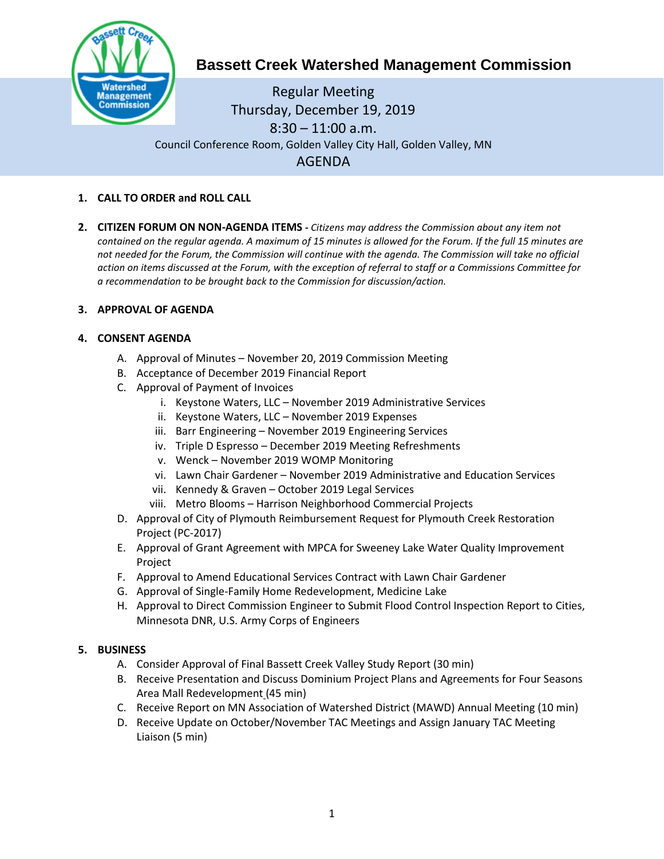

# **Bassett Creek Watershed Management Commission**

Regular Meeting Thursday, December 19, 2019  $8:30 - 11:00$  a.m. Council Conference Room, Golden Valley City Hall, Golden Valley, MN AGENDA

- **1. CALL TO ORDER and ROLL CALL**
- **2. CITIZEN FORUM ON NON-AGENDA ITEMS -** *Citizens may address the Commission about any item not contained on the regular agenda. A maximum of 15 minutes is allowed for the Forum. If the full 15 minutes are*  not needed for the Forum, the Commission will continue with the agenda. The Commission will take no official *action on items discussed at the Forum, with the exception of referral to staff or a Commissions Committee for a recommendation to be brought back to the Commission for discussion/action.*

# **3. APPROVAL OF AGENDA**

# **4. CONSENT AGENDA**

- A. Approval of Minutes November 20, 2019 Commission Meeting
- B. Acceptance of December 2019 Financial Report
- C. Approval of Payment of Invoices
	- i. Keystone Waters, LLC November 2019 Administrative Services
	- ii. Keystone Waters, LLC November 2019 Expenses
	- iii. Barr Engineering November 2019 Engineering Services
	- iv. Triple D Espresso December 2019 Meeting Refreshments
	- v. Wenck November 2019 WOMP Monitoring
	- vi. Lawn Chair Gardener November 2019 Administrative and Education Services
	- vii. Kennedy & Graven October 2019 Legal Services
	- viii. Metro Blooms Harrison Neighborhood Commercial Projects
- D. Approval of City of Plymouth Reimbursement Request for Plymouth Creek Restoration Project (PC-2017)
- E. Approval of Grant Agreement with MPCA for Sweeney Lake Water Quality Improvement **Project**
- F. Approval to Amend Educational Services Contract with Lawn Chair Gardener
- G. Approval of Single-Family Home Redevelopment, Medicine Lake
- H. Approval to Direct Commission Engineer to Submit Flood Control Inspection Report to Cities, Minnesota DNR, U.S. Army Corps of Engineers

## **5. BUSINESS**

- A. Consider Approval of Final Bassett Creek Valley Study Report (30 min)
- B. Receive Presentation and Discuss Dominium Project Plans and Agreements for Four Seasons Area Mall Redevelopment (45 min)
- C. Receive Report on MN Association of Watershed District (MAWD) Annual Meeting (10 min)
- D. Receive Update on October/November TAC Meetings and Assign January TAC Meeting Liaison (5 min)